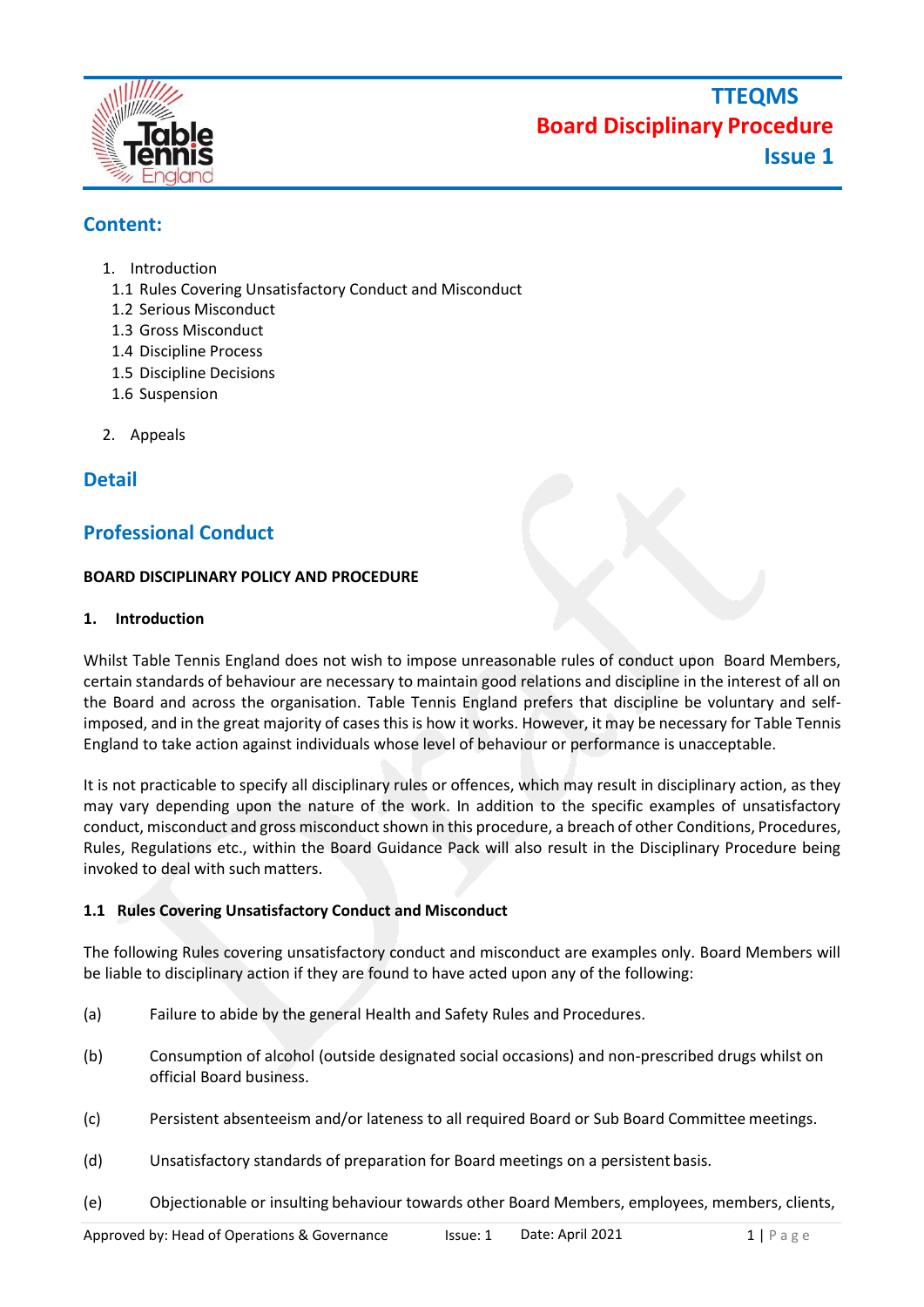

# **Content:**

- 1. Introduction
	- 1.1 Rules Covering Unsatisfactory Conduct and Misconduct
	- 1.2 Serious Misconduct
	- 1.3 Gross Misconduct
	- 1.4 Discipline Process
	- 1.5 Discipline Decisions
	- 1.6 Suspension
- 2. Appeals

## **Detail**

## **Professional Conduct**

#### **BOARD DISCIPLINARY POLICY AND PROCEDURE**

#### **1. Introduction**

Whilst Table Tennis England does not wish to impose unreasonable rules of conduct upon Board Members, certain standards of behaviour are necessary to maintain good relations and discipline in the interest of all on the Board and across the organisation. Table Tennis England prefers that discipline be voluntary and selfimposed, and in the great majority of cases this is how it works. However, it may be necessary for Table Tennis England to take action against individuals whose level of behaviour or performance is unacceptable.

It is not practicable to specify all disciplinary rules or offences, which may result in disciplinary action, as they may vary depending upon the nature of the work. In addition to the specific examples of unsatisfactory conduct, misconduct and gross misconduct shown in this procedure, a breach of other Conditions, Procedures, Rules, Regulations etc., within the Board Guidance Pack will also result in the Disciplinary Procedure being invoked to deal with such matters.

#### **1.1 Rules Covering Unsatisfactory Conduct and Misconduct**

The following Rules covering unsatisfactory conduct and misconduct are examples only. Board Members will be liable to disciplinary action if they are found to have acted upon any of the following:

- (a) Failure to abide by the general Health and Safety Rules and Procedures.
- (b) Consumption of alcohol (outside designated social occasions) and non-prescribed drugs whilst on official Board business.
- (c) Persistent absenteeism and/or lateness to all required Board or Sub Board Committee meetings.
- (d) Unsatisfactory standards of preparation for Board meetings on a persistent basis.
- (e) Objectionable or insulting behaviour towards other Board Members, employees, members, clients,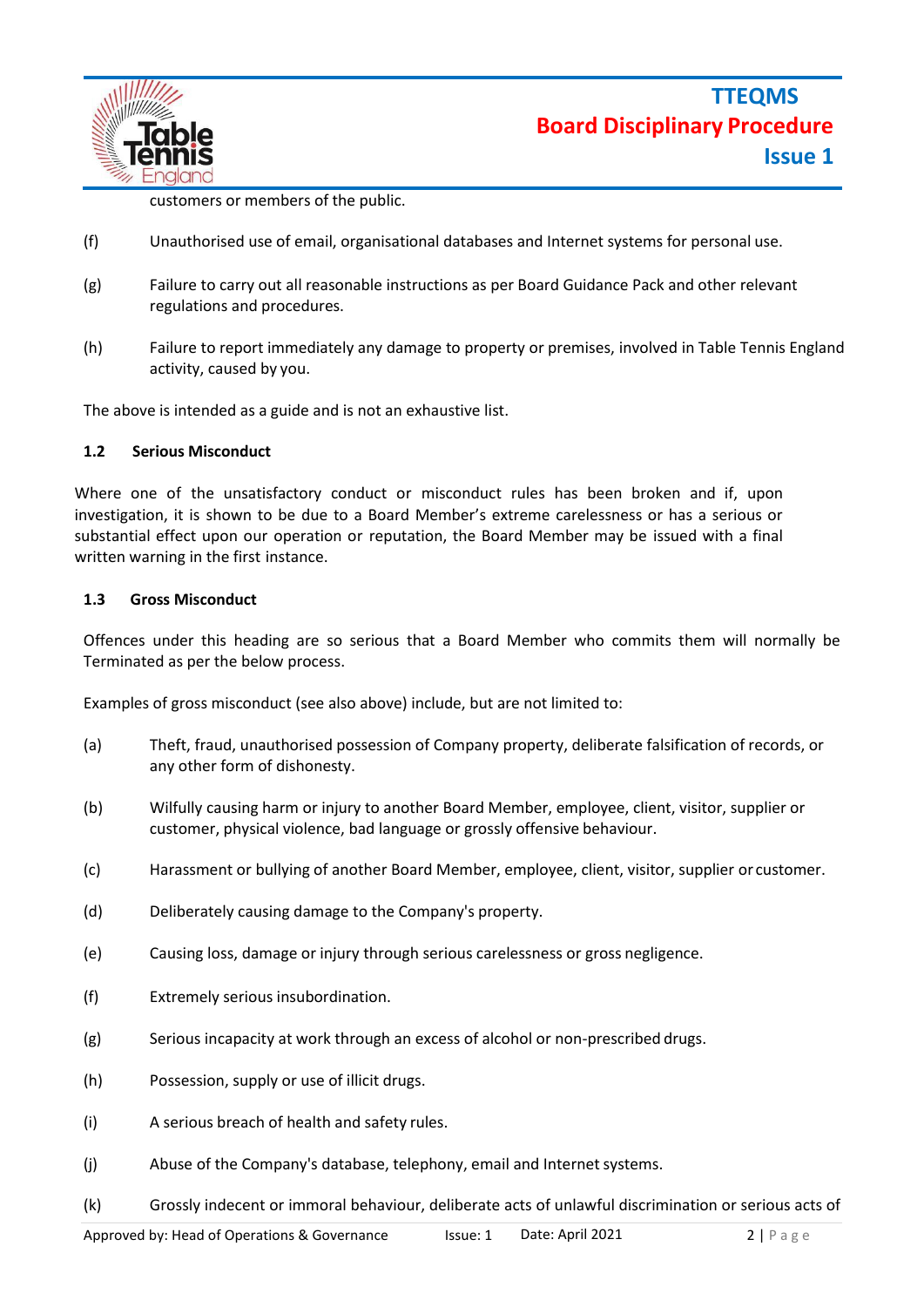

customers or members of the public.

- (f) Unauthorised use of email, organisational databases and Internet systems for personal use.
- (g) Failure to carry out all reasonable instructions as per Board Guidance Pack and other relevant regulations and procedures.
- (h) Failure to report immediately any damage to property or premises, involved in Table Tennis England activity, caused by you.

The above is intended as a guide and is not an exhaustive list.

#### **1.2 Serious Misconduct**

Where one of the unsatisfactory conduct or misconduct rules has been broken and if, upon investigation, it is shown to be due to a Board Member's extreme carelessness or has a serious or substantial effect upon our operation or reputation, the Board Member may be issued with a final written warning in the first instance.

#### **1.3 Gross Misconduct**

Offences under this heading are so serious that a Board Member who commits them will normally be Terminated as per the below process.

Examples of gross misconduct (see also above) include, but are not limited to:

- (a) Theft, fraud, unauthorised possession of Company property, deliberate falsification of records, or any other form of dishonesty.
- (b) Wilfully causing harm or injury to another Board Member, employee, client, visitor, supplier or customer, physical violence, bad language or grossly offensive behaviour.
- (c) Harassment or bullying of another Board Member, employee, client, visitor, supplier or customer.
- (d) Deliberately causing damage to the Company's property.
- (e) Causing loss, damage or injury through serious carelessness or gross negligence.
- (f) Extremely serious insubordination.
- (g) Serious incapacity at work through an excess of alcohol or non-prescribed drugs.
- (h) Possession, supply or use of illicit drugs.
- (i) A serious breach of health and safety rules.
- (j) Abuse of the Company's database, telephony, email and Internet systems.
- (k) Grossly indecent or immoral behaviour, deliberate acts of unlawful discrimination or serious acts of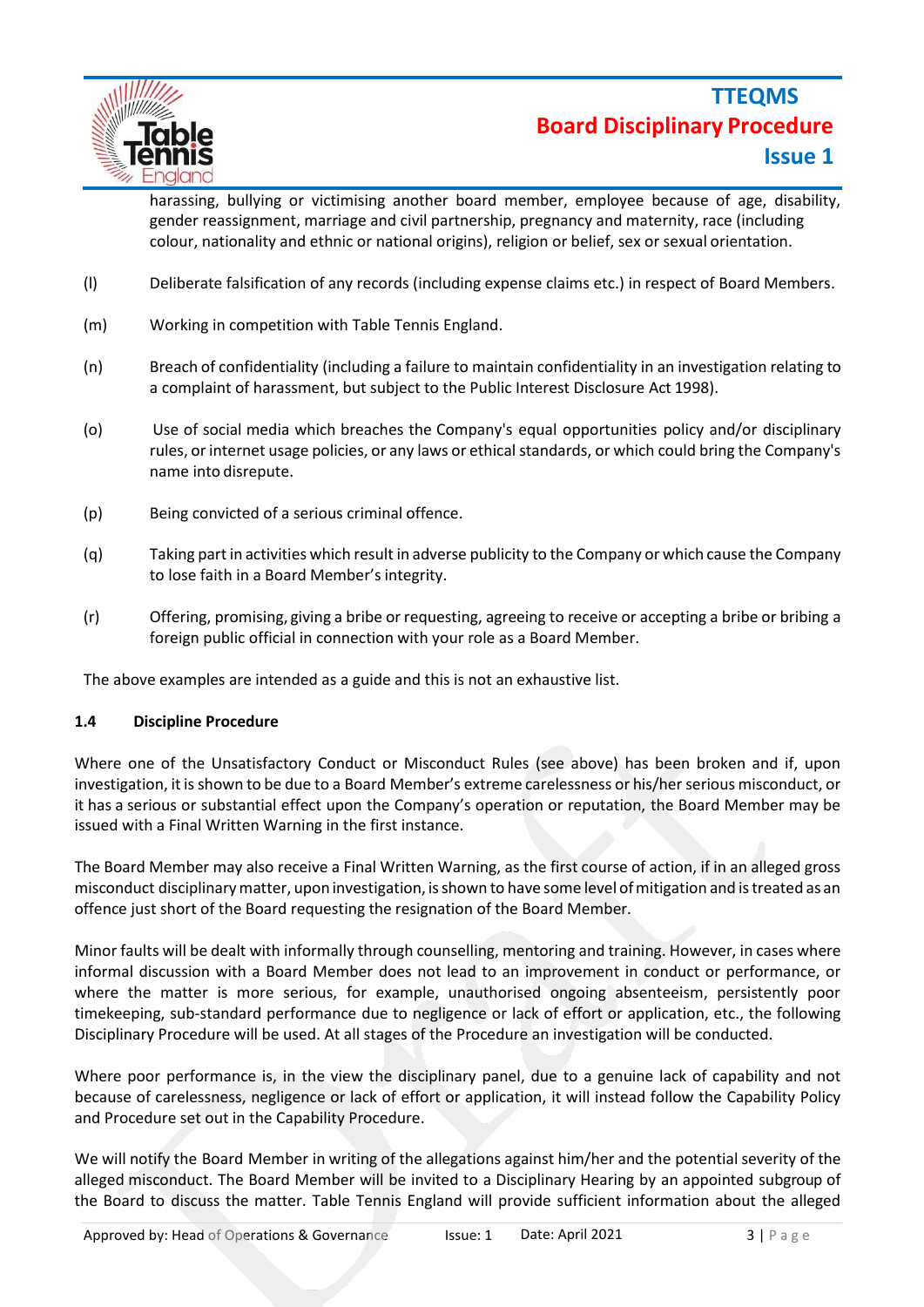

harassing, bullying or victimising another board member, employee because of age, disability, gender reassignment, marriage and civil partnership, pregnancy and maternity, race (including colour, nationality and ethnic or national origins), religion or belief, sex or sexual orientation.

- (l) Deliberate falsification of any records (including expense claims etc.) in respect of Board Members.
- (m) Working in competition with Table Tennis England.
- (n) Breach of confidentiality (including a failure to maintain confidentiality in an investigation relating to a complaint of harassment, but subject to the Public Interest Disclosure Act 1998).
- (o) Use of social media which breaches the Company's equal opportunities policy and/or disciplinary rules, orinternet usage policies, or any laws or ethical standards, or which could bring the Company's name into disrepute.
- (p) Being convicted of a serious criminal offence.
- (q) Taking part in activities which result in adverse publicity to the Company or which cause the Company to lose faith in a Board Member's integrity.
- (r) Offering, promising, giving a bribe or requesting, agreeing to receive or accepting a bribe or bribing a foreign public official in connection with your role as a Board Member.

The above examples are intended as a guide and this is not an exhaustive list.

#### **1.4 Discipline Procedure**

Where one of the Unsatisfactory Conduct or Misconduct Rules (see above) has been broken and if, upon investigation, it is shown to be due to a Board Member's extreme carelessness or his/her serious misconduct, or it has a serious or substantial effect upon the Company's operation or reputation, the Board Member may be issued with a Final Written Warning in the first instance.

The Board Member may also receive a Final Written Warning, as the first course of action, if in an alleged gross misconduct disciplinarymatter, upon investigation, isshown to have some level ofmitigation and istreated as an offence just short of the Board requesting the resignation of the Board Member.

Minor faults will be dealt with informally through counselling, mentoring and training. However, in cases where informal discussion with a Board Member does not lead to an improvement in conduct or performance, or where the matter is more serious, for example, unauthorised ongoing absenteeism, persistently poor timekeeping, sub-standard performance due to negligence or lack of effort or application, etc., the following Disciplinary Procedure will be used. At all stages of the Procedure an investigation will be conducted.

Where poor performance is, in the view the disciplinary panel, due to a genuine lack of capability and not because of carelessness, negligence or lack of effort or application, it will instead follow the Capability Policy and Procedure set out in the Capability Procedure.

We will notify the Board Member in writing of the allegations against him/her and the potential severity of the alleged misconduct. The Board Member will be invited to a Disciplinary Hearing by an appointed subgroup of the Board to discuss the matter. Table Tennis England will provide sufficient information about the alleged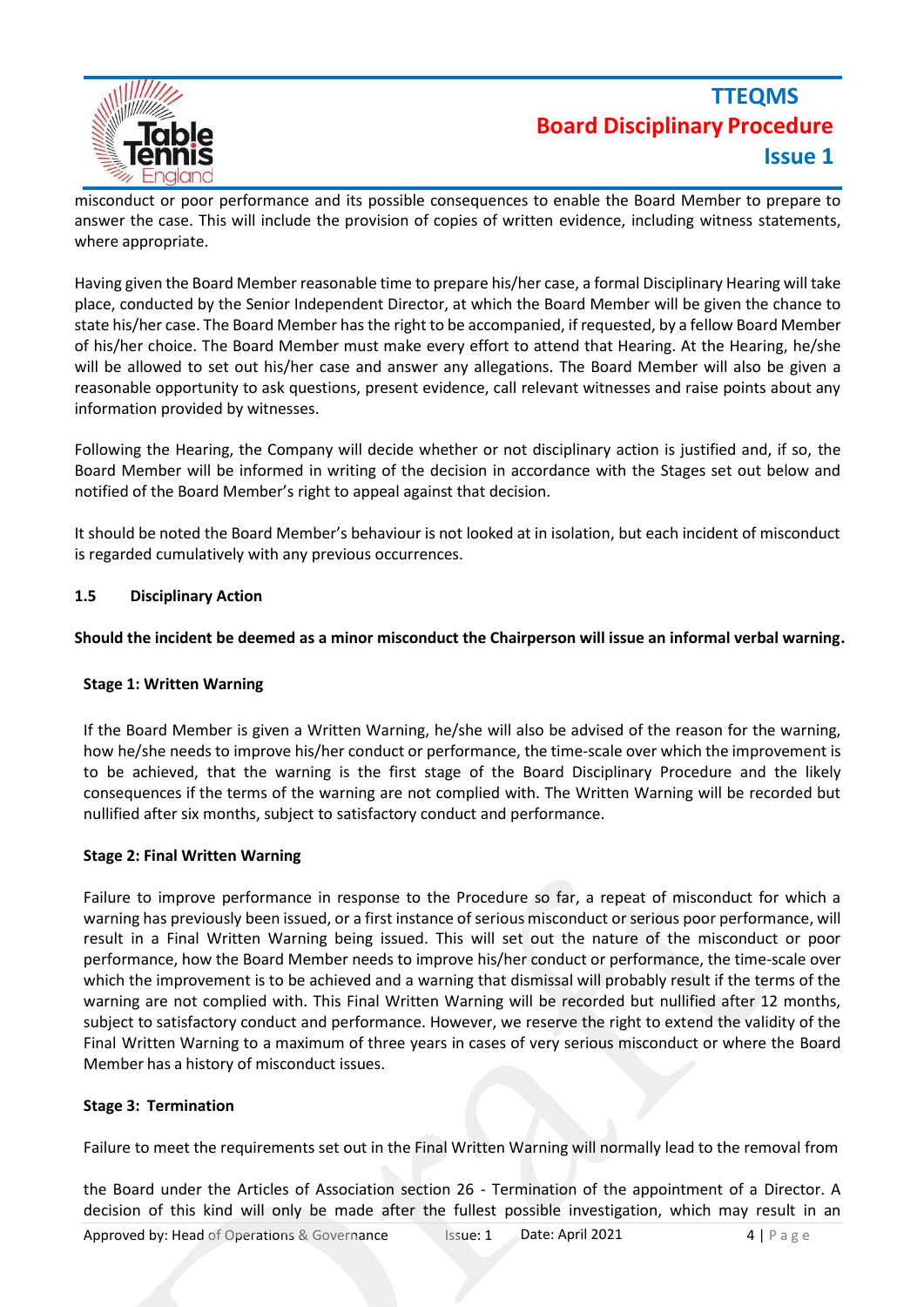

# **TTEQMS Board Disciplinary Procedure Issue 1**

misconduct or poor performance and its possible consequences to enable the Board Member to prepare to answer the case. This will include the provision of copies of written evidence, including witness statements, where appropriate.

Having given the Board Member reasonable time to prepare his/her case, a formal Disciplinary Hearing will take place, conducted by the Senior Independent Director, at which the Board Member will be given the chance to state his/her case. The Board Member hasthe right to be accompanied, if requested, by a fellow Board Member of his/her choice. The Board Member must make every effort to attend that Hearing. At the Hearing, he/she will be allowed to set out his/her case and answer any allegations. The Board Member will also be given a reasonable opportunity to ask questions, present evidence, call relevant witnesses and raise points about any information provided by witnesses.

Following the Hearing, the Company will decide whether or not disciplinary action is justified and, if so, the Board Member will be informed in writing of the decision in accordance with the Stages set out below and notified of the Board Member's right to appeal against that decision.

It should be noted the Board Member's behaviour is not looked at in isolation, but each incident of misconduct is regarded cumulatively with any previous occurrences.

#### **1.5 Disciplinary Action**

#### **Should the incident be deemed as a minor misconduct the Chairperson will issue an informal verbal warning.**

#### **Stage 1: Written Warning**

If the Board Member is given a Written Warning, he/she will also be advised of the reason for the warning, how he/she needs to improve his/her conduct or performance, the time-scale over which the improvement is to be achieved, that the warning is the first stage of the Board Disciplinary Procedure and the likely consequences if the terms of the warning are not complied with. The Written Warning will be recorded but nullified after six months, subject to satisfactory conduct and performance.

#### **Stage 2: Final Written Warning**

Failure to improve performance in response to the Procedure so far, a repeat of misconduct for which a warning has previously been issued, or a first instance of serious misconduct or serious poor performance, will result in a Final Written Warning being issued. This will set out the nature of the misconduct or poor performance, how the Board Member needs to improve his/her conduct or performance, the time-scale over which the improvement is to be achieved and a warning that dismissal will probably result if the terms of the warning are not complied with. This Final Written Warning will be recorded but nullified after 12 months, subject to satisfactory conduct and performance. However, we reserve the right to extend the validity of the Final Written Warning to a maximum of three years in cases of very serious misconduct or where the Board Member has a history of misconduct issues.

#### **Stage 3: Termination**

Failure to meet the requirements set out in the Final Written Warning will normally lead to the removal from

the Board under the Articles of Association section 26 - Termination of the appointment of a Director. A decision of this kind will only be made after the fullest possible investigation, which may result in an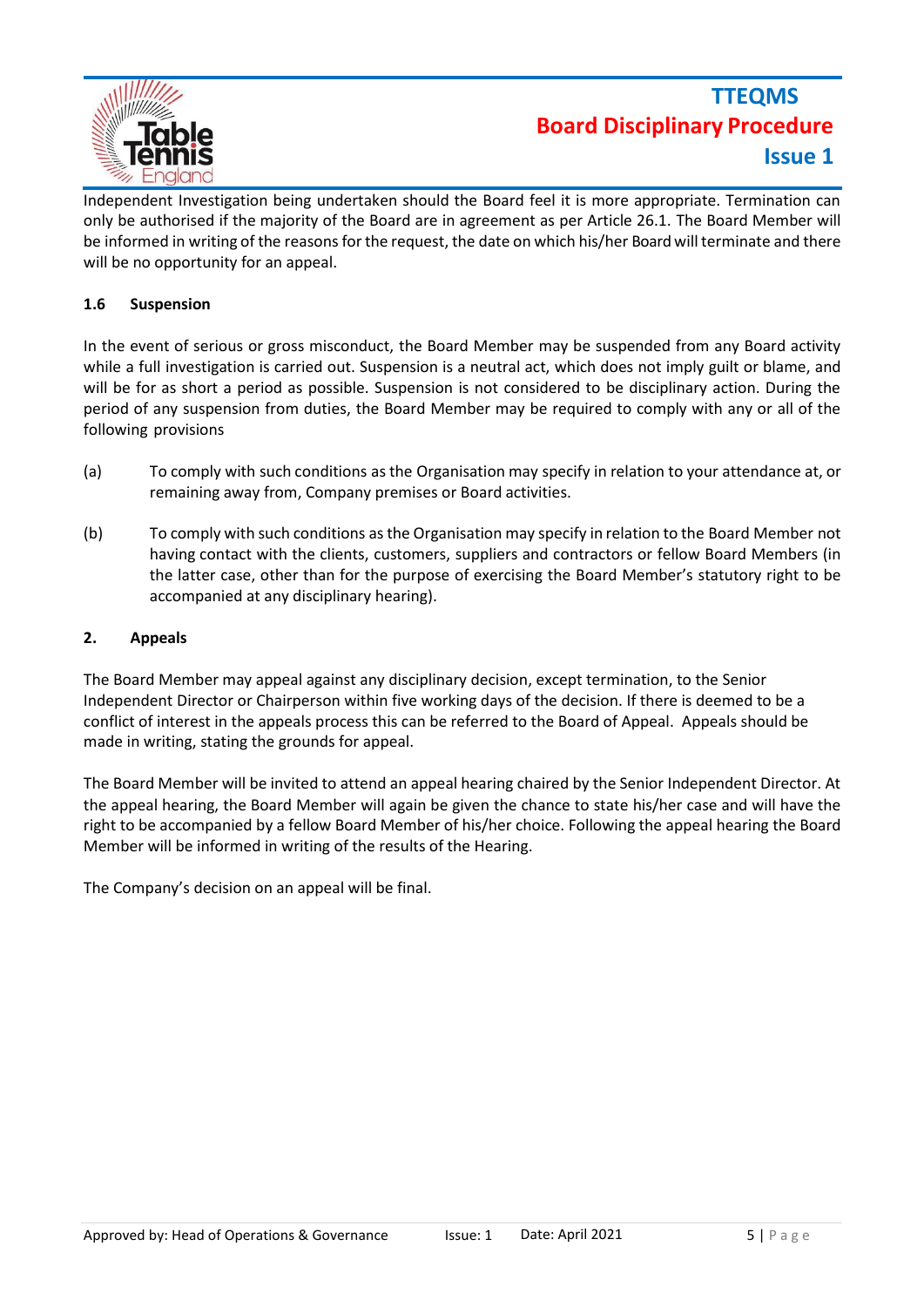

Independent Investigation being undertaken should the Board feel it is more appropriate. Termination can only be authorised if the majority of the Board are in agreement as per Article 26.1. The Board Member will be informed in writing of the reasons forthe request, the date on which his/her Board will terminate and there will be no opportunity for an appeal.

#### **1.6 Suspension**

In the event of serious or gross misconduct, the Board Member may be suspended from any Board activity while a full investigation is carried out. Suspension is a neutral act, which does not imply guilt or blame, and will be for as short a period as possible. Suspension is not considered to be disciplinary action. During the period of any suspension from duties, the Board Member may be required to comply with any or all of the following provisions

- (a) To comply with such conditions as the Organisation may specify in relation to your attendance at, or remaining away from, Company premises or Board activities.
- (b) To comply with such conditions asthe Organisation may specify in relation to the Board Member not having contact with the clients, customers, suppliers and contractors or fellow Board Members (in the latter case, other than for the purpose of exercising the Board Member's statutory right to be accompanied at any disciplinary hearing).

#### **2. Appeals**

The Board Member may appeal against any disciplinary decision, except termination, to the Senior Independent Director or Chairperson within five working days of the decision. If there is deemed to be a conflict of interest in the appeals process this can be referred to the Board of Appeal. Appeals should be made in writing, stating the grounds for appeal.

The Board Member will be invited to attend an appeal hearing chaired by the Senior Independent Director. At the appeal hearing, the Board Member will again be given the chance to state his/her case and will have the right to be accompanied by a fellow Board Member of his/her choice. Following the appeal hearing the Board Member will be informed in writing of the results of the Hearing.

The Company's decision on an appeal will be final.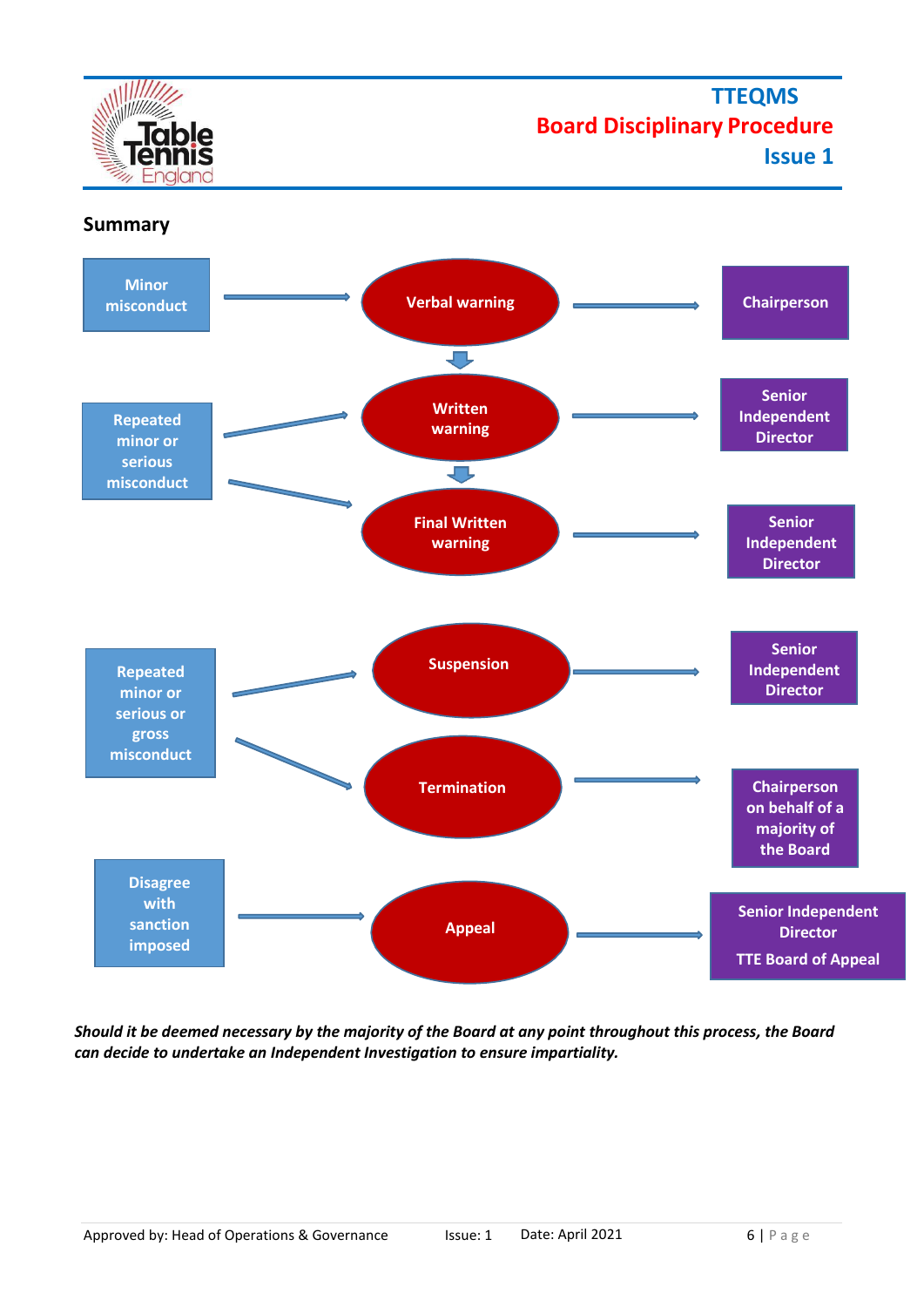**TTEQMS Board Disciplinary Procedure**

**Issue 1**





*Should it be deemed necessary by the majority of the Board at any point throughout this process, the Board can decide to undertake an Independent Investigation to ensure impartiality.*